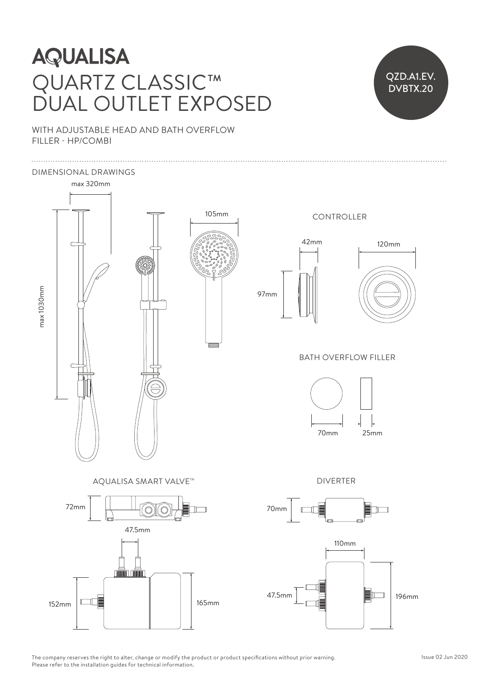# $\frac{1}{3}$  $A$ **AQUALISA** QUARTZ CLASSIC™  $\sqrt{6}$ DUAL OUTLET EXPOSED

### QZD.A1.EV. DVBTX.20 25mm 70mm 25mm 70mm

25mm 70mm

WITH ADJUSTABLE HEAD AND BATH OVERFLOW FILLER - HP/COMBI



The company reserves the right to alter, change or modify the product or product specifications without prior warning. Please refer to the installation guides for technical information.